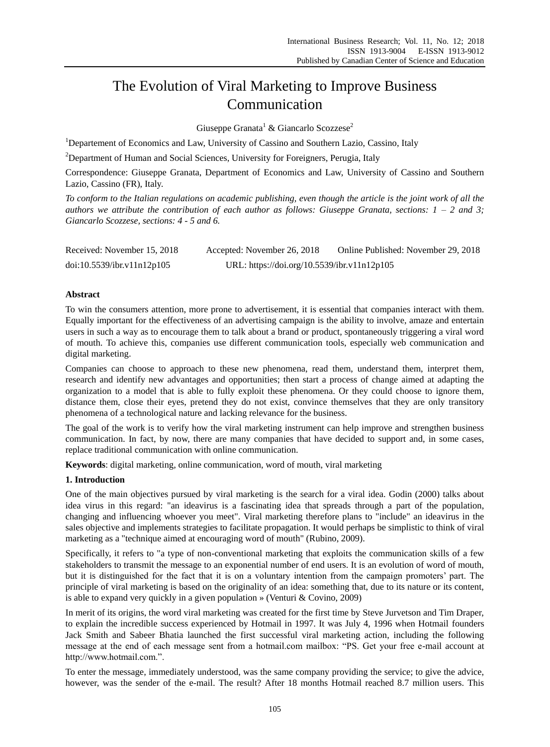# The Evolution of Viral Marketing to Improve Business Communication

Giuseppe Granata<sup>1</sup> & Giancarlo Scozzese<sup>2</sup>

<sup>1</sup>Departement of Economics and Law, University of Cassino and Southern Lazio, Cassino, Italy

<sup>2</sup>Department of Human and Social Sciences, University for Foreigners, Perugia, Italy

Correspondence: Giuseppe Granata, Department of Economics and Law, University of Cassino and Southern Lazio, Cassino (FR), Italy.

*To conform to the Italian regulations on academic publishing, even though the article is the joint work of all the authors we attribute the contribution of each author as follows: Giuseppe Granata, sections: 1 – 2 and 3; Giancarlo Scozzese, sections: 4 - 5 and 6.*

| Received: November 15, 2018 | Accepted: November 26, 2018                 | Online Published: November 29, 2018 |
|-----------------------------|---------------------------------------------|-------------------------------------|
| doi:10.5539/ibr.v11n12p105  | URL: https://doi.org/10.5539/ibr.v11n12p105 |                                     |

# **Abstract**

To win the consumers attention, more prone to advertisement, it is essential that companies interact with them. Equally important for the effectiveness of an advertising campaign is the ability to involve, amaze and entertain users in such a way as to encourage them to talk about a brand or product, spontaneously triggering a viral word of mouth. To achieve this, companies use different communication tools, especially web communication and digital marketing.

Companies can choose to approach to these new phenomena, read them, understand them, interpret them, research and identify new advantages and opportunities; then start a process of change aimed at adapting the organization to a model that is able to fully exploit these phenomena. Or they could choose to ignore them, distance them, close their eyes, pretend they do not exist, convince themselves that they are only transitory phenomena of a technological nature and lacking relevance for the business.

The goal of the work is to verify how the viral marketing instrument can help improve and strengthen business communication. In fact, by now, there are many companies that have decided to support and, in some cases, replace traditional communication with online communication.

**Keywords**: digital marketing, online communication, word of mouth, viral marketing

# **1. Introduction**

One of the main objectives pursued by viral marketing is the search for a viral idea. Godin (2000) talks about idea virus in this regard: "an ideavirus is a fascinating idea that spreads through a part of the population, changing and influencing whoever you meet". Viral marketing therefore plans to "include" an ideavirus in the sales objective and implements strategies to facilitate propagation. It would perhaps be simplistic to think of viral marketing as a "technique aimed at encouraging word of mouth" (Rubino, 2009).

Specifically, it refers to "a type of non-conventional marketing that exploits the communication skills of a few stakeholders to transmit the message to an exponential number of end users. It is an evolution of word of mouth, but it is distinguished for the fact that it is on a voluntary intention from the campaign promoters' part. The principle of viral marketing is based on the originality of an idea: something that, due to its nature or its content, is able to expand very quickly in a given population » (Venturi & Covino, 2009)

In merit of its origins, the word viral marketing was created for the first time by Steve Jurvetson and Tim Draper, to explain the incredible success experienced by Hotmail in 1997. It was July 4, 1996 when Hotmail founders Jack Smith and Sabeer Bhatia launched the first successful viral marketing action, including the following message at the end of each message sent from a hotmail.com mailbox: "PS. Get your free e-mail account at http://www.hotmail.com.".

To enter the message, immediately understood, was the same company providing the service; to give the advice, however, was the sender of the e-mail. The result? After 18 months Hotmail reached 8.7 million users. This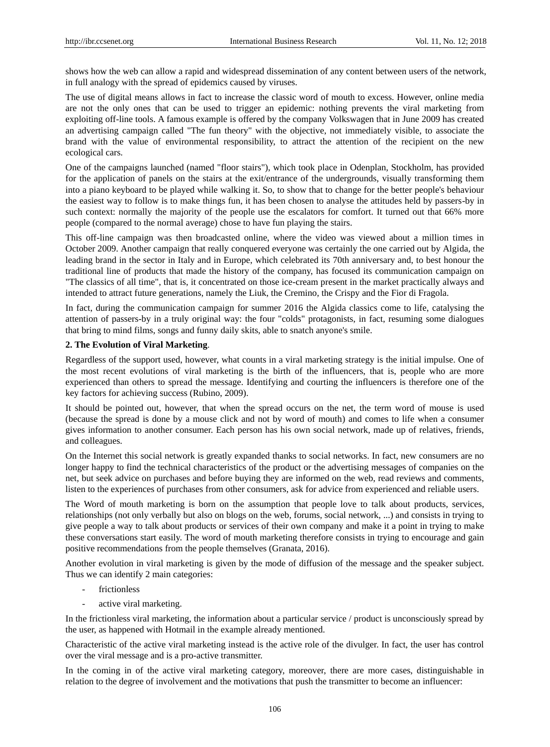shows how the web can allow a rapid and widespread dissemination of any content between users of the network, in full analogy with the spread of epidemics caused by viruses.

The use of digital means allows in fact to increase the classic word of mouth to excess. However, online media are not the only ones that can be used to trigger an epidemic: nothing prevents the viral marketing from exploiting off-line tools. A famous example is offered by the company Volkswagen that in June 2009 has created an advertising campaign called "The fun theory" with the objective, not immediately visible, to associate the brand with the value of environmental responsibility, to attract the attention of the recipient on the new ecological cars.

One of the campaigns launched (named "floor stairs"), which took place in Odenplan, Stockholm, has provided for the application of panels on the stairs at the exit/entrance of the undergrounds, visually transforming them into a piano keyboard to be played while walking it. So, to show that to change for the better people's behaviour the easiest way to follow is to make things fun, it has been chosen to analyse the attitudes held by passers-by in such context: normally the majority of the people use the escalators for comfort. It turned out that 66% more people (compared to the normal average) chose to have fun playing the stairs.

This off-line campaign was then broadcasted online, where the video was viewed about a million times in October 2009. Another campaign that really conquered everyone was certainly the one carried out by Algida, the leading brand in the sector in Italy and in Europe, which celebrated its 70th anniversary and, to best honour the traditional line of products that made the history of the company, has focused its communication campaign on "The classics of all time", that is, it concentrated on those ice-cream present in the market practically always and intended to attract future generations, namely the Liuk, the Cremino, the Crispy and the Fior di Fragola.

In fact, during the communication campaign for summer 2016 the Algida classics come to life, catalysing the attention of passers-by in a truly original way: the four "colds" protagonists, in fact, resuming some dialogues that bring to mind films, songs and funny daily skits, able to snatch anyone's smile.

# **2. The Evolution of Viral Marketing**.

Regardless of the support used, however, what counts in a viral marketing strategy is the initial impulse. One of the most recent evolutions of viral marketing is the birth of the influencers, that is, people who are more experienced than others to spread the message. Identifying and courting the influencers is therefore one of the key factors for achieving success (Rubino, 2009).

It should be pointed out, however, that when the spread occurs on the net, the term word of mouse is used (because the spread is done by a mouse click and not by word of mouth) and comes to life when a consumer gives information to another consumer. Each person has his own social network, made up of relatives, friends, and colleagues.

On the Internet this social network is greatly expanded thanks to social networks. In fact, new consumers are no longer happy to find the technical characteristics of the product or the advertising messages of companies on the net, but seek advice on purchases and before buying they are informed on the web, read reviews and comments, listen to the experiences of purchases from other consumers, ask for advice from experienced and reliable users.

The Word of mouth marketing is born on the assumption that people love to talk about products, services, relationships (not only verbally but also on blogs on the web, forums, social network, ...) and consists in trying to give people a way to talk about products or services of their own company and make it a point in trying to make these conversations start easily. The word of mouth marketing therefore consists in trying to encourage and gain positive recommendations from the people themselves (Granata, 2016).

Another evolution in viral marketing is given by the mode of diffusion of the message and the speaker subject. Thus we can identify 2 main categories:

- frictionless
- active viral marketing.

In the frictionless viral marketing, the information about a particular service / product is unconsciously spread by the user, as happened with Hotmail in the example already mentioned.

Characteristic of the active viral marketing instead is the active role of the divulger. In fact, the user has control over the viral message and is a pro-active transmitter.

In the coming in of the active viral marketing category, moreover, there are more cases, distinguishable in relation to the degree of involvement and the motivations that push the transmitter to become an influencer: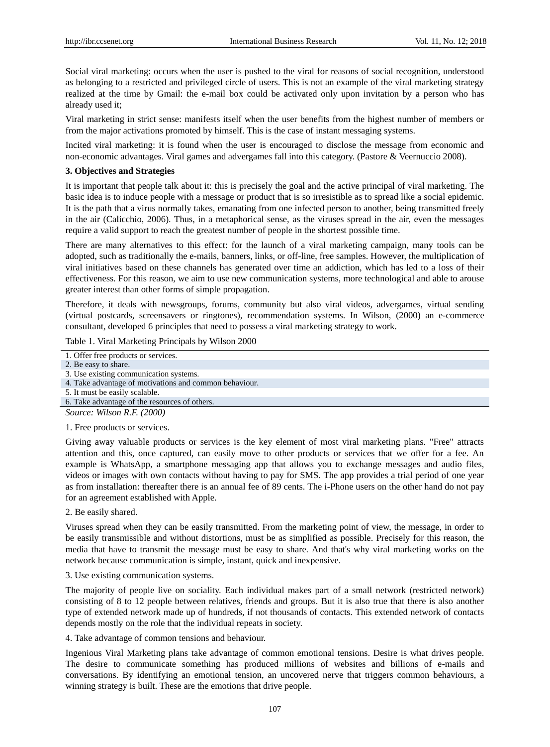Social viral marketing: occurs when the user is pushed to the viral for reasons of social recognition, understood as belonging to a restricted and privileged circle of users. This is not an example of the viral marketing strategy realized at the time by Gmail: the e-mail box could be activated only upon invitation by a person who has already used it;

Viral marketing in strict sense: manifests itself when the user benefits from the highest number of members or from the major activations promoted by himself. This is the case of instant messaging systems.

Incited viral marketing: it is found when the user is encouraged to disclose the message from economic and non-economic advantages. Viral games and advergames fall into this category. (Pastore & Veernuccio 2008).

# **3. Objectives and Strategies**

It is important that people talk about it: this is precisely the goal and the active principal of viral marketing. The basic idea is to induce people with a message or product that is so irresistible as to spread like a social epidemic. It is the path that a virus normally takes, emanating from one infected person to another, being transmitted freely in the air (Calicchio, 2006). Thus, in a metaphorical sense, as the viruses spread in the air, even the messages require a valid support to reach the greatest number of people in the shortest possible time.

There are many alternatives to this effect: for the launch of a viral marketing campaign, many tools can be adopted, such as traditionally the e-mails, banners, links, or off-line, free samples. However, the multiplication of viral initiatives based on these channels has generated over time an addiction, which has led to a loss of their effectiveness. For this reason, we aim to use new communication systems, more technological and able to arouse greater interest than other forms of simple propagation.

Therefore, it deals with newsgroups, forums, community but also viral videos, advergames, virtual sending (virtual postcards, screensavers or ringtones), recommendation systems. In Wilson, (2000) an e-commerce consultant, developed 6 principles that need to possess a viral marketing strategy to work.

## Table 1. Viral Marketing Principals by Wilson 2000

|  | 1. Offer free products or services. |  |
|--|-------------------------------------|--|
|  |                                     |  |

2. Be easy to share.

- 4. Take advantage of motivations and common behaviour.
- 5. It must be easily scalable.

6. Take advantage of the resources of others.

*Source: Wilson R.F. (2000)*

## 1. Free products or services.

Giving away valuable products or services is the key element of most viral marketing plans. "Free" attracts attention and this, once captured, can easily move to other products or services that we offer for a fee. An example is WhatsApp, a smartphone messaging app that allows you to exchange messages and audio files, videos or images with own contacts without having to pay for SMS. The app provides a trial period of one year as from installation: thereafter there is an annual fee of 89 cents. The i-Phone users on the other hand do not pay for an agreement established with Apple.

2. Be easily shared.

Viruses spread when they can be easily transmitted. From the marketing point of view, the message, in order to be easily transmissible and without distortions, must be as simplified as possible. Precisely for this reason, the media that have to transmit the message must be easy to share. And that's why viral marketing works on the network because communication is simple, instant, quick and inexpensive.

3. Use existing communication systems.

The majority of people live on sociality. Each individual makes part of a small network (restricted network) consisting of 8 to 12 people between relatives, friends and groups. But it is also true that there is also another type of extended network made up of hundreds, if not thousands of contacts. This extended network of contacts depends mostly on the role that the individual repeats in society.

4. Take advantage of common tensions and behaviour.

Ingenious Viral Marketing plans take advantage of common emotional tensions. Desire is what drives people. The desire to communicate something has produced millions of websites and billions of e-mails and conversations. By identifying an emotional tension, an uncovered nerve that triggers common behaviours, a winning strategy is built. These are the emotions that drive people.

<sup>3.</sup> Use existing communication systems.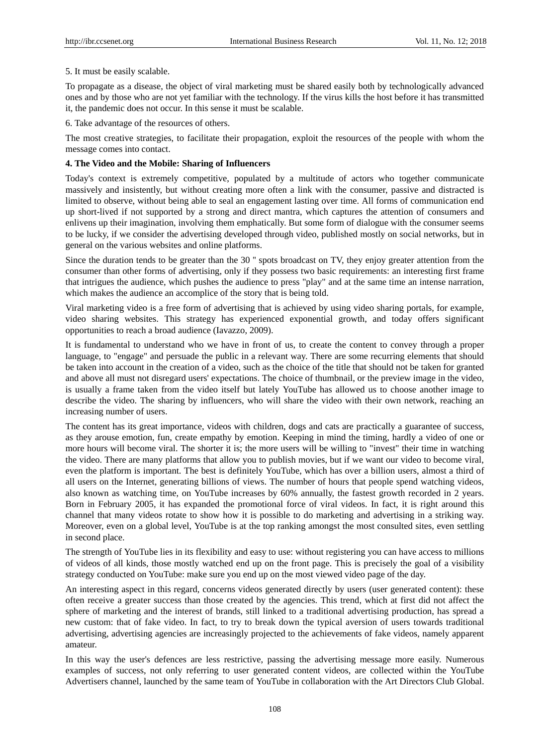#### 5. It must be easily scalable.

To propagate as a disease, the object of viral marketing must be shared easily both by technologically advanced ones and by those who are not yet familiar with the technology. If the virus kills the host before it has transmitted it, the pandemic does not occur. In this sense it must be scalable.

6. Take advantage of the resources of others.

The most creative strategies, to facilitate their propagation, exploit the resources of the people with whom the message comes into contact.

## **4. The Video and the Mobile: Sharing of Influencers**

Today's context is extremely competitive, populated by a multitude of actors who together communicate massively and insistently, but without creating more often a link with the consumer, passive and distracted is limited to observe, without being able to seal an engagement lasting over time. All forms of communication end up short-lived if not supported by a strong and direct mantra, which captures the attention of consumers and enlivens up their imagination, involving them emphatically. But some form of dialogue with the consumer seems to be lucky, if we consider the advertising developed through video, published mostly on social networks, but in general on the various websites and online platforms.

Since the duration tends to be greater than the 30 '' spots broadcast on TV, they enjoy greater attention from the consumer than other forms of advertising, only if they possess two basic requirements: an interesting first frame that intrigues the audience, which pushes the audience to press "play" and at the same time an intense narration, which makes the audience an accomplice of the story that is being told.

Viral marketing video is a free form of advertising that is achieved by using video sharing portals, for example, video sharing websites. This strategy has experienced exponential growth, and today offers significant opportunities to reach a broad audience (Iavazzo, 2009).

It is fundamental to understand who we have in front of us, to create the content to convey through a proper language, to "engage" and persuade the public in a relevant way. There are some recurring elements that should be taken into account in the creation of a video, such as the choice of the title that should not be taken for granted and above all must not disregard users' expectations. The choice of thumbnail, or the preview image in the video, is usually a frame taken from the video itself but lately YouTube has allowed us to choose another image to describe the video. The sharing by influencers, who will share the video with their own network, reaching an increasing number of users.

The content has its great importance, videos with children, dogs and cats are practically a guarantee of success, as they arouse emotion, fun, create empathy by emotion. Keeping in mind the timing, hardly a video of one or more hours will become viral. The shorter it is; the more users will be willing to "invest" their time in watching the video. There are many platforms that allow you to publish movies, but if we want our video to become viral, even the platform is important. The best is definitely YouTube, which has over a billion users, almost a third of all users on the Internet, generating billions of views. The number of hours that people spend watching videos, also known as watching time, on YouTube increases by 60% annually, the fastest growth recorded in 2 years. Born in February 2005, it has expanded the promotional force of viral videos. In fact, it is right around this channel that many videos rotate to show how it is possible to do marketing and advertising in a striking way. Moreover, even on a global level, YouTube is at the top ranking amongst the most consulted sites, even settling in second place.

The strength of YouTube lies in its flexibility and easy to use: without registering you can have access to millions of videos of all kinds, those mostly watched end up on the front page. This is precisely the goal of a visibility strategy conducted on YouTube: make sure you end up on the most viewed video page of the day.

An interesting aspect in this regard, concerns videos generated directly by users (user generated content): these often receive a greater success than those created by the agencies. This trend, which at first did not affect the sphere of marketing and the interest of brands, still linked to a traditional advertising production, has spread a new custom: that of fake video. In fact, to try to break down the typical aversion of users towards traditional advertising, advertising agencies are increasingly projected to the achievements of fake videos, namely apparent amateur.

In this way the user's defences are less restrictive, passing the advertising message more easily. Numerous examples of success, not only referring to user generated content videos, are collected within the YouTube Advertisers channel, launched by the same team of YouTube in collaboration with the Art Directors Club Global.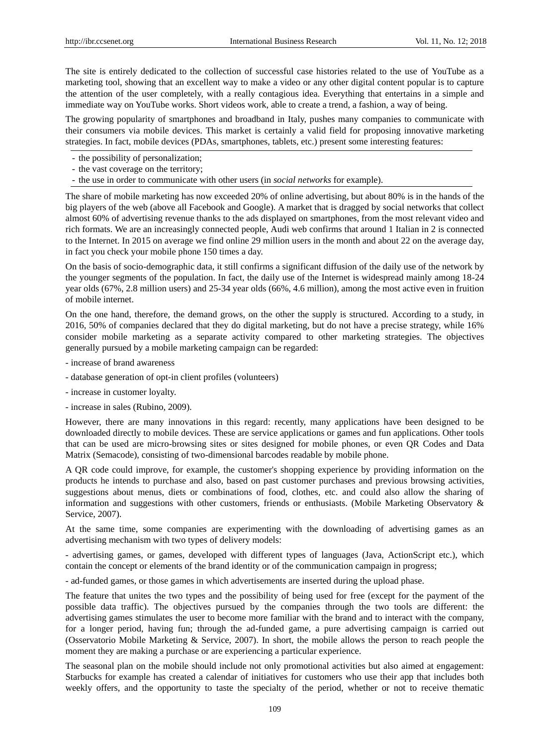The site is entirely dedicated to the collection of successful case histories related to the use of YouTube as a marketing tool, showing that an excellent way to make a video or any other digital content popular is to capture the attention of the user completely, with a really contagious idea. Everything that entertains in a simple and immediate way on YouTube works. Short videos work, able to create a trend, a fashion, a way of being.

The growing popularity of smartphones and broadband in Italy, pushes many companies to communicate with their consumers via mobile devices. This market is certainly a valid field for proposing innovative marketing strategies. In fact, mobile devices (PDAs, smartphones, tablets, etc.) present some interesting features:

- the possibility of personalization;
- the vast coverage on the territory;
- the use in order to communicate with other users (in *social networks* for example).

The share of mobile marketing has now exceeded 20% of online advertising, but about 80% is in the hands of the big players of the web (above all Facebook and Google). A market that is dragged by social networks that collect almost 60% of advertising revenue thanks to the ads displayed on smartphones, from the most relevant video and rich formats. We are an increasingly connected people, Audi web confirms that around 1 Italian in 2 is connected to the Internet. In 2015 on average we find online 29 million users in the month and about 22 on the average day, in fact you check your mobile phone 150 times a day.

On the basis of socio-demographic data, it still confirms a significant diffusion of the daily use of the network by the younger segments of the population. In fact, the daily use of the Internet is widespread mainly among 18-24 year olds (67%, 2.8 million users) and 25-34 year olds (66%, 4.6 million), among the most active even in fruition of mobile internet.

On the one hand, therefore, the demand grows, on the other the supply is structured. According to a study, in 2016, 50% of companies declared that they do digital marketing, but do not have a precise strategy, while 16% consider mobile marketing as a separate activity compared to other marketing strategies. The objectives generally pursued by a mobile marketing campaign can be regarded:

- increase of brand awareness
- database generation of opt-in client profiles (volunteers)
- increase in customer loyalty.
- increase in sales (Rubino, 2009).

However, there are many innovations in this regard: recently, many applications have been designed to be downloaded directly to mobile devices. These are service applications or games and fun applications. Other tools that can be used are micro-browsing sites or sites designed for mobile phones, or even QR Codes and Data Matrix (Semacode), consisting of two-dimensional barcodes readable by mobile phone.

A QR code could improve, for example, the customer's shopping experience by providing information on the products he intends to purchase and also, based on past customer purchases and previous browsing activities, suggestions about menus, diets or combinations of food, clothes, etc. and could also allow the sharing of information and suggestions with other customers, friends or enthusiasts. (Mobile Marketing Observatory & Service, 2007).

At the same time, some companies are experimenting with the downloading of advertising games as an advertising mechanism with two types of delivery models:

- advertising games, or games, developed with different types of languages (Java, ActionScript etc.), which contain the concept or elements of the brand identity or of the communication campaign in progress;

- ad-funded games, or those games in which advertisements are inserted during the upload phase.

The feature that unites the two types and the possibility of being used for free (except for the payment of the possible data traffic). The objectives pursued by the companies through the two tools are different: the advertising games stimulates the user to become more familiar with the brand and to interact with the company, for a longer period, having fun; through the ad-funded game, a pure advertising campaign is carried out (Osservatorio Mobile Marketing & Service, 2007). In short, the mobile allows the person to reach people the moment they are making a purchase or are experiencing a particular experience.

The seasonal plan on the mobile should include not only promotional activities but also aimed at engagement: Starbucks for example has created a calendar of initiatives for customers who use their app that includes both weekly offers, and the opportunity to taste the specialty of the period, whether or not to receive thematic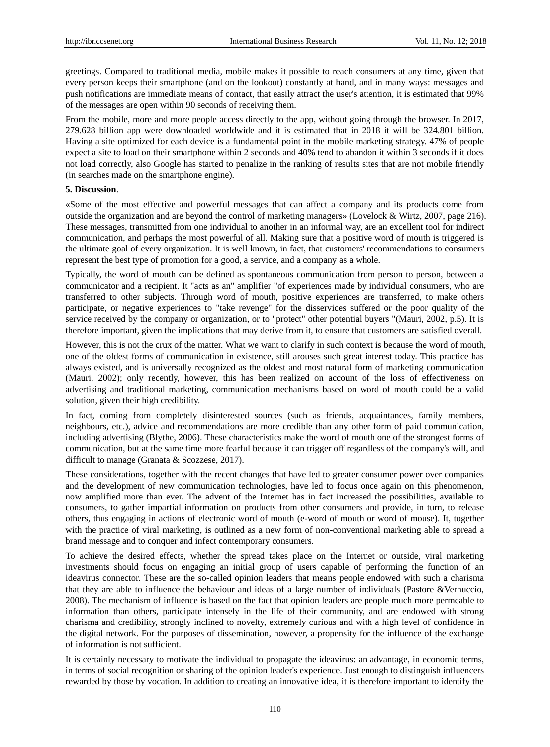greetings. Compared to traditional media, mobile makes it possible to reach consumers at any time, given that every person keeps their smartphone (and on the lookout) constantly at hand, and in many ways: messages and push notifications are immediate means of contact, that easily attract the user's attention, it is estimated that 99% of the messages are open within 90 seconds of receiving them.

From the mobile, more and more people access directly to the app, without going through the browser. In 2017, 279.628 billion app were downloaded worldwide and it is estimated that in 2018 it will be 324.801 billion. Having a site optimized for each device is a fundamental point in the mobile marketing strategy. 47% of people expect a site to load on their smartphone within 2 seconds and 40% tend to abandon it within 3 seconds if it does not load correctly, also Google has started to penalize in the ranking of results sites that are not mobile friendly (in searches made on the smartphone engine).

## **5. Discussion**.

«Some of the most effective and powerful messages that can affect a company and its products come from outside the organization and are beyond the control of marketing managers» (Lovelock & Wirtz, 2007, page 216). These messages, transmitted from one individual to another in an informal way, are an excellent tool for indirect communication, and perhaps the most powerful of all. Making sure that a positive word of mouth is triggered is the ultimate goal of every organization. It is well known, in fact, that customers' recommendations to consumers represent the best type of promotion for a good, a service, and a company as a whole.

Typically, the word of mouth can be defined as spontaneous communication from person to person, between a communicator and a recipient. It "acts as an" amplifier "of experiences made by individual consumers, who are transferred to other subjects. Through word of mouth, positive experiences are transferred, to make others participate, or negative experiences to "take revenge" for the disservices suffered or the poor quality of the service received by the company or organization, or to "protect" other potential buyers "(Mauri, 2002, p.5). It is therefore important, given the implications that may derive from it, to ensure that customers are satisfied overall.

However, this is not the crux of the matter. What we want to clarify in such context is because the word of mouth, one of the oldest forms of communication in existence, still arouses such great interest today. This practice has always existed, and is universally recognized as the oldest and most natural form of marketing communication (Mauri, 2002); only recently, however, this has been realized on account of the loss of effectiveness on advertising and traditional marketing, communication mechanisms based on word of mouth could be a valid solution, given their high credibility.

In fact, coming from completely disinterested sources (such as friends, acquaintances, family members, neighbours, etc.), advice and recommendations are more credible than any other form of paid communication, including advertising (Blythe, 2006). These characteristics make the word of mouth one of the strongest forms of communication, but at the same time more fearful because it can trigger off regardless of the company's will, and difficult to manage (Granata & Scozzese, 2017).

These considerations, together with the recent changes that have led to greater consumer power over companies and the development of new communication technologies, have led to focus once again on this phenomenon, now amplified more than ever. The advent of the Internet has in fact increased the possibilities, available to consumers, to gather impartial information on products from other consumers and provide, in turn, to release others, thus engaging in actions of electronic word of mouth (e-word of mouth or word of mouse). It, together with the practice of viral marketing, is outlined as a new form of non-conventional marketing able to spread a brand message and to conquer and infect contemporary consumers.

To achieve the desired effects, whether the spread takes place on the Internet or outside, viral marketing investments should focus on engaging an initial group of users capable of performing the function of an ideavirus connector. These are the so-called opinion leaders that means people endowed with such a charisma that they are able to influence the behaviour and ideas of a large number of individuals (Pastore &Vernuccio, 2008). The mechanism of influence is based on the fact that opinion leaders are people much more permeable to information than others, participate intensely in the life of their community, and are endowed with strong charisma and credibility, strongly inclined to novelty, extremely curious and with a high level of confidence in the digital network. For the purposes of dissemination, however, a propensity for the influence of the exchange of information is not sufficient.

It is certainly necessary to motivate the individual to propagate the ideavirus: an advantage, in economic terms, in terms of social recognition or sharing of the opinion leader's experience. Just enough to distinguish influencers rewarded by those by vocation. In addition to creating an innovative idea, it is therefore important to identify the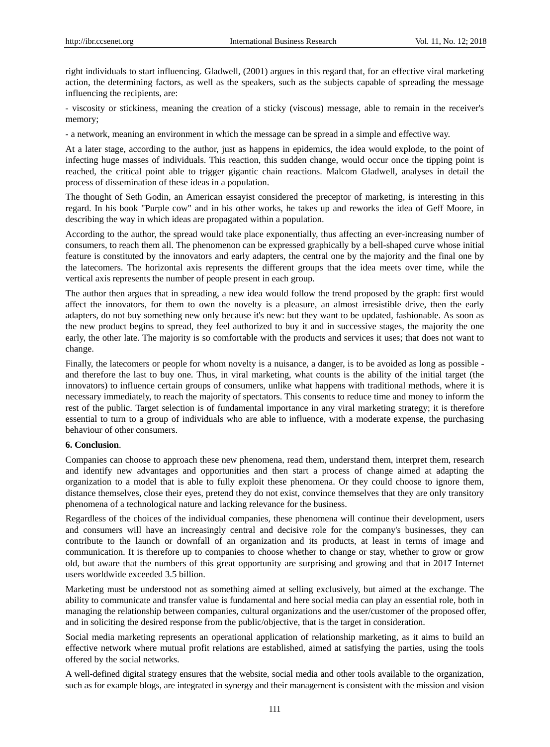right individuals to start influencing. Gladwell, (2001) argues in this regard that, for an effective viral marketing action, the determining factors, as well as the speakers, such as the subjects capable of spreading the message influencing the recipients, are:

- viscosity or stickiness, meaning the creation of a sticky (viscous) message, able to remain in the receiver's memory;

- a network, meaning an environment in which the message can be spread in a simple and effective way.

At a later stage, according to the author, just as happens in epidemics, the idea would explode, to the point of infecting huge masses of individuals. This reaction, this sudden change, would occur once the tipping point is reached, the critical point able to trigger gigantic chain reactions. Malcom Gladwell, analyses in detail the process of dissemination of these ideas in a population.

The thought of Seth Godin, an American essayist considered the preceptor of marketing, is interesting in this regard. In his book "Purple cow" and in his other works, he takes up and reworks the idea of Geff Moore, in describing the way in which ideas are propagated within a population.

According to the author, the spread would take place exponentially, thus affecting an ever-increasing number of consumers, to reach them all. The phenomenon can be expressed graphically by a bell-shaped curve whose initial feature is constituted by the innovators and early adapters, the central one by the majority and the final one by the latecomers. The horizontal axis represents the different groups that the idea meets over time, while the vertical axis represents the number of people present in each group.

The author then argues that in spreading, a new idea would follow the trend proposed by the graph: first would affect the innovators, for them to own the novelty is a pleasure, an almost irresistible drive, then the early adapters, do not buy something new only because it's new: but they want to be updated, fashionable. As soon as the new product begins to spread, they feel authorized to buy it and in successive stages, the majority the one early, the other late. The majority is so comfortable with the products and services it uses; that does not want to change.

Finally, the latecomers or people for whom novelty is a nuisance, a danger, is to be avoided as long as possible and therefore the last to buy one. Thus, in viral marketing, what counts is the ability of the initial target (the innovators) to influence certain groups of consumers, unlike what happens with traditional methods, where it is necessary immediately, to reach the majority of spectators. This consents to reduce time and money to inform the rest of the public. Target selection is of fundamental importance in any viral marketing strategy; it is therefore essential to turn to a group of individuals who are able to influence, with a moderate expense, the purchasing behaviour of other consumers.

## **6. Conclusion**.

Companies can choose to approach these new phenomena, read them, understand them, interpret them, research and identify new advantages and opportunities and then start a process of change aimed at adapting the organization to a model that is able to fully exploit these phenomena. Or they could choose to ignore them, distance themselves, close their eyes, pretend they do not exist, convince themselves that they are only transitory phenomena of a technological nature and lacking relevance for the business.

Regardless of the choices of the individual companies, these phenomena will continue their development, users and consumers will have an increasingly central and decisive role for the company's businesses, they can contribute to the launch or downfall of an organization and its products, at least in terms of image and communication. It is therefore up to companies to choose whether to change or stay, whether to grow or grow old, but aware that the numbers of this great opportunity are surprising and growing and that in 2017 Internet users worldwide exceeded 3.5 billion.

Marketing must be understood not as something aimed at selling exclusively, but aimed at the exchange. The ability to communicate and transfer value is fundamental and here social media can play an essential role, both in managing the relationship between companies, cultural organizations and the user/customer of the proposed offer, and in soliciting the desired response from the public/objective, that is the target in consideration.

Social media marketing represents an operational application of relationship marketing, as it aims to build an effective network where mutual profit relations are established, aimed at satisfying the parties, using the tools offered by the social networks.

A well-defined digital strategy ensures that the website, social media and other tools available to the organization, such as for example blogs, are integrated in synergy and their management is consistent with the mission and vision